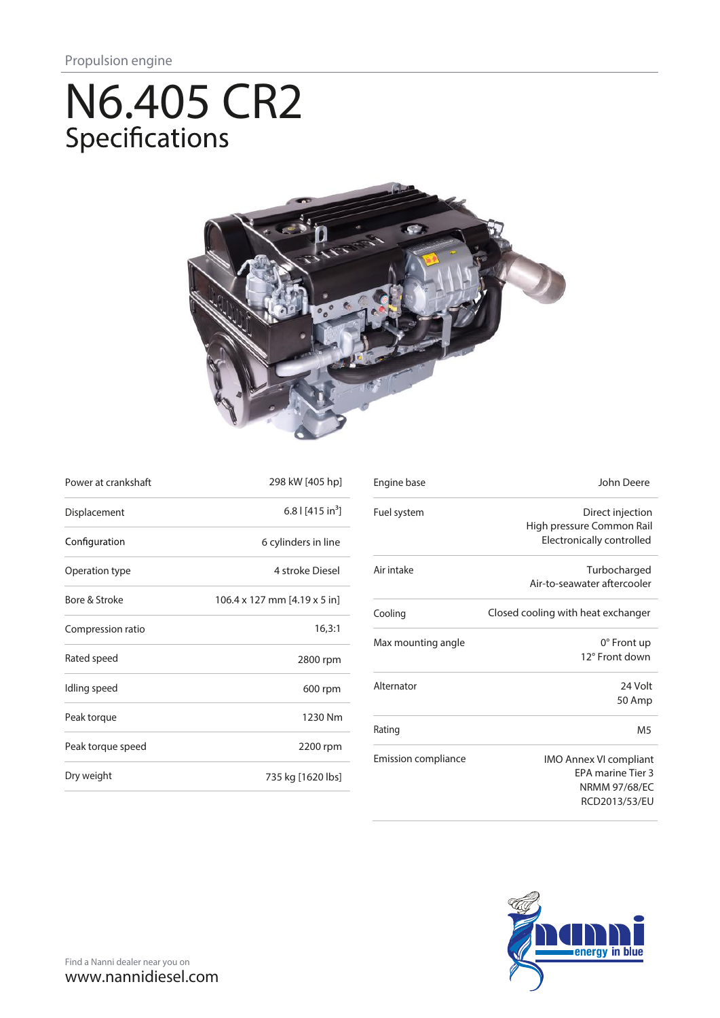# N6.405 CR2<br>Specifications



| Power at crankshaft | 298 kW [405 hp]              |
|---------------------|------------------------------|
| Displacement        | 6.8   $[415 in3]$            |
| Configuration       | 6 cylinders in line          |
| Operation type      | 4 stroke Diesel              |
| Bore & Stroke       | 106.4 x 127 mm [4.19 x 5 in] |
| Compression ratio   | 16,3:1                       |
| Rated speed         | 2800 rpm                     |
| Idling speed        | 600 rpm                      |
| Peak torque         | 1230 Nm                      |
| Peak torque speed   | 2200 rpm                     |
| Dry weight          | 735 kg [1620 lbs]            |

| Engine base         | John Deere                         |
|---------------------|------------------------------------|
| Fuel system         | Direct injection                   |
|                     | High pressure Common Rail          |
|                     | Electronically controlled          |
| Air intake          | Turbocharged                       |
|                     | Air-to-seawater aftercooler        |
| Cooling             | Closed cooling with heat exchanger |
| Max mounting angle  | $0^\circ$ Front up                 |
|                     | 12° Front down                     |
| Alternator          | 24 Volt                            |
|                     | 50 Amp                             |
| Rating              | M <sub>5</sub>                     |
| Emission compliance | <b>IMO Annex VI compliant</b>      |
|                     | <b>EPA marine Tier 3</b>           |
|                     | <b>NRMM 97/68/EC</b>               |
|                     | RCD2013/53/EU                      |